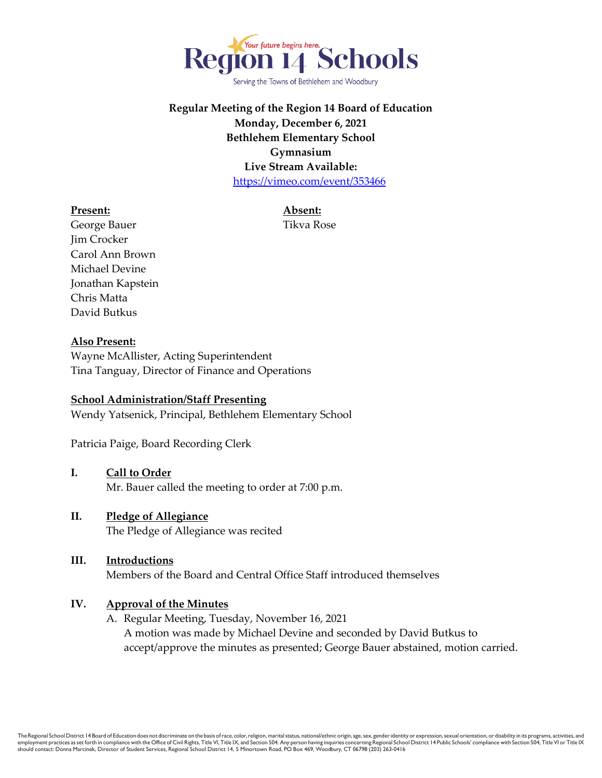

Serving the Towns of Bethlehem and Woodbury

# **Regular Meeting of the Region 14 Board of Education Monday, December 6, 2021 Bethlehem Elementary School Gymnasium Live Stream Available:** <https://vimeo.com/event/353466>

#### **Present: Absent:**

George Bauer Tikva Rose Jim Crocker Carol Ann Brown Michael Devine Jonathan Kapstein Chris Matta David Butkus

#### **Also Present:**

Wayne McAllister, Acting Superintendent Tina Tanguay, Director of Finance and Operations

#### **School Administration/Staff Presenting**

Wendy Yatsenick, Principal, Bethlehem Elementary School

Patricia Paige, Board Recording Clerk

#### **I. Call to Order**

Mr. Bauer called the meeting to order at 7:00 p.m.

#### **II. Pledge of Allegiance**

The Pledge of Allegiance was recited

#### **III. Introductions**

Members of the Board and Central Office Staff introduced themselves

#### **IV. Approval of the Minutes**

A. Regular Meeting, Tuesday, November 16, 2021 A motion was made by Michael Devine and seconded by David Butkus to accept/approve the minutes as presented; George Bauer abstained, motion carried.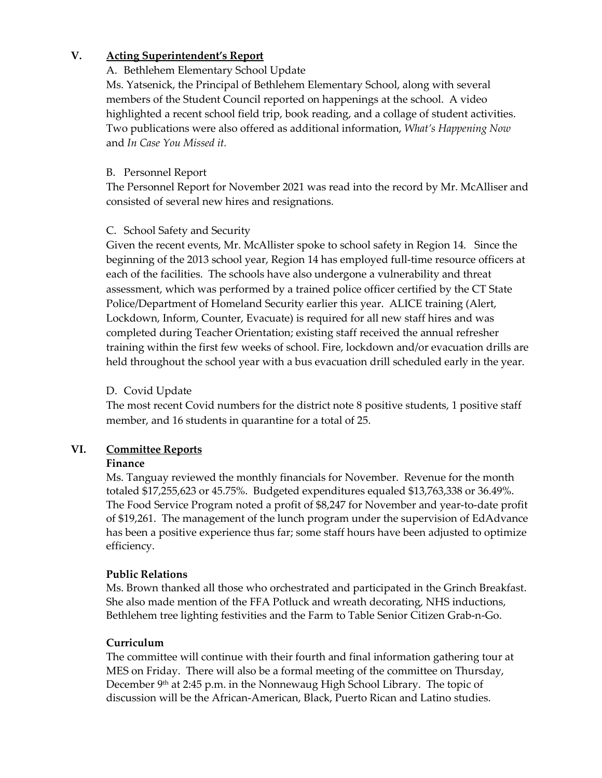# **V. Acting Superintendent's Report**

## A. Bethlehem Elementary School Update

Ms. Yatsenick, the Principal of Bethlehem Elementary School, along with several members of the Student Council reported on happenings at the school. A video highlighted a recent school field trip, book reading, and a collage of student activities. Two publications were also offered as additional information, *What's Happening Now* and *In Case You Missed it.* 

## B. Personnel Report

The Personnel Report for November 2021 was read into the record by Mr. McAlliser and consisted of several new hires and resignations.

# C. School Safety and Security

Given the recent events, Mr. McAllister spoke to school safety in Region 14. Since the beginning of the 2013 school year, Region 14 has employed full-time resource officers at each of the facilities. The schools have also undergone a vulnerability and threat assessment, which was performed by a trained police officer certified by the CT State Police/Department of Homeland Security earlier this year. ALICE training (Alert, Lockdown, Inform, Counter, Evacuate) is required for all new staff hires and was completed during Teacher Orientation; existing staff received the annual refresher training within the first few weeks of school. Fire, lockdown and/or evacuation drills are held throughout the school year with a bus evacuation drill scheduled early in the year.

## D. Covid Update

The most recent Covid numbers for the district note 8 positive students, 1 positive staff member, and 16 students in quarantine for a total of 25.

# **VI. Committee Reports**

#### **Finance**

Ms. Tanguay reviewed the monthly financials for November. Revenue for the month totaled \$17,255,623 or 45.75%. Budgeted expenditures equaled \$13,763,338 or 36.49%. The Food Service Program noted a profit of \$8,247 for November and year-to-date profit of \$19,261. The management of the lunch program under the supervision of EdAdvance has been a positive experience thus far; some staff hours have been adjusted to optimize efficiency.

# **Public Relations**

Ms. Brown thanked all those who orchestrated and participated in the Grinch Breakfast. She also made mention of the FFA Potluck and wreath decorating, NHS inductions, Bethlehem tree lighting festivities and the Farm to Table Senior Citizen Grab-n-Go.

# **Curriculum**

The committee will continue with their fourth and final information gathering tour at MES on Friday. There will also be a formal meeting of the committee on Thursday, December  $9<sup>th</sup>$  at 2:45 p.m. in the Nonnewaug High School Library. The topic of discussion will be the African-American, Black, Puerto Rican and Latino studies.